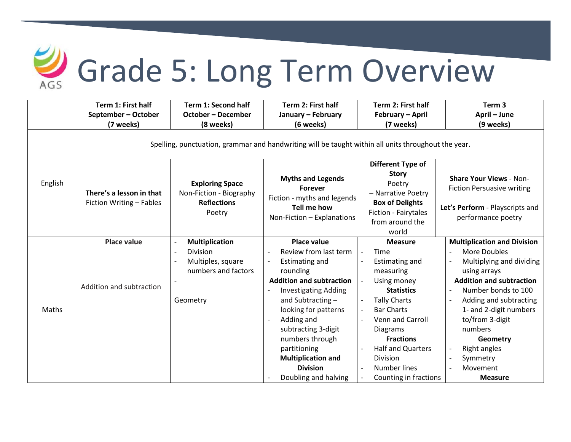

## Grade 5: Long Term Overview

|         | Term 1: First half                                                                                  | <b>Term 1: Second half</b>                                                        | Term 2: First half                                                                       | Term 2: First half                                                                          | Term <sub>3</sub>                                                                                                            |  |  |  |  |
|---------|-----------------------------------------------------------------------------------------------------|-----------------------------------------------------------------------------------|------------------------------------------------------------------------------------------|---------------------------------------------------------------------------------------------|------------------------------------------------------------------------------------------------------------------------------|--|--|--|--|
|         | September - October                                                                                 | <b>October - December</b>                                                         | January - February                                                                       | February - April                                                                            | April - June                                                                                                                 |  |  |  |  |
|         | (7 weeks)                                                                                           | (8 weeks)                                                                         | (6 weeks)                                                                                | (7 weeks)                                                                                   | (9 weeks)                                                                                                                    |  |  |  |  |
|         | Spelling, punctuation, grammar and handwriting will be taught within all units throughout the year. |                                                                                   |                                                                                          |                                                                                             |                                                                                                                              |  |  |  |  |
| English | There's a lesson in that<br>Fiction Writing - Fables                                                | <b>Exploring Space</b><br>Non-Fiction - Biography<br><b>Reflections</b><br>Poetry | <b>Myths and Legends</b><br><b>Forever</b><br>Fiction - myths and legends<br>Tell me how | Different Type of<br><b>Story</b><br>Poetry<br>- Narrative Poetry<br><b>Box of Delights</b> | <b>Share Your Views - Non-</b><br><b>Fiction Persuasive writing</b><br>Let's Perform - Playscripts and<br>performance poetry |  |  |  |  |
|         |                                                                                                     |                                                                                   | Non-Fiction - Explanations                                                               | Fiction - Fairytales<br>from around the<br>world                                            |                                                                                                                              |  |  |  |  |
| Maths   | <b>Place value</b>                                                                                  | <b>Multiplication</b>                                                             | <b>Place value</b>                                                                       | <b>Measure</b>                                                                              | <b>Multiplication and Division</b>                                                                                           |  |  |  |  |
|         | Addition and subtraction                                                                            | Division                                                                          | Review from last term                                                                    | Time                                                                                        | More Doubles                                                                                                                 |  |  |  |  |
|         |                                                                                                     | Multiples, square                                                                 | <b>Estimating and</b>                                                                    | Estimating and                                                                              | Multiplying and dividing                                                                                                     |  |  |  |  |
|         |                                                                                                     | numbers and factors                                                               | rounding                                                                                 | measuring                                                                                   | using arrays                                                                                                                 |  |  |  |  |
|         |                                                                                                     |                                                                                   | <b>Addition and subtraction</b>                                                          | Using money                                                                                 | <b>Addition and subtraction</b>                                                                                              |  |  |  |  |
|         |                                                                                                     |                                                                                   | <b>Investigating Adding</b>                                                              | <b>Statistics</b>                                                                           | Number bonds to 100                                                                                                          |  |  |  |  |
|         |                                                                                                     | Geometry                                                                          | and Subtracting-                                                                         | <b>Tally Charts</b><br>$\overline{\phantom{a}}$                                             | Adding and subtracting                                                                                                       |  |  |  |  |
|         |                                                                                                     |                                                                                   | looking for patterns                                                                     | <b>Bar Charts</b><br>$\overline{\phantom{a}}$                                               | 1- and 2-digit numbers                                                                                                       |  |  |  |  |
|         |                                                                                                     |                                                                                   | Adding and                                                                               | <b>Venn and Carroll</b>                                                                     | to/from 3-digit                                                                                                              |  |  |  |  |
|         |                                                                                                     |                                                                                   | subtracting 3-digit                                                                      | <b>Diagrams</b>                                                                             | numbers                                                                                                                      |  |  |  |  |
|         |                                                                                                     |                                                                                   | numbers through                                                                          | <b>Fractions</b>                                                                            | Geometry                                                                                                                     |  |  |  |  |
|         |                                                                                                     |                                                                                   | partitioning                                                                             | <b>Half and Quarters</b>                                                                    | Right angles                                                                                                                 |  |  |  |  |
|         |                                                                                                     |                                                                                   |                                                                                          |                                                                                             |                                                                                                                              |  |  |  |  |
|         |                                                                                                     |                                                                                   |                                                                                          |                                                                                             |                                                                                                                              |  |  |  |  |
|         |                                                                                                     |                                                                                   | <b>Multiplication and</b><br><b>Division</b><br>Doubling and halving                     | Division<br>Number lines<br>Counting in fractions                                           | Symmetry<br>Movement<br><b>Measure</b>                                                                                       |  |  |  |  |